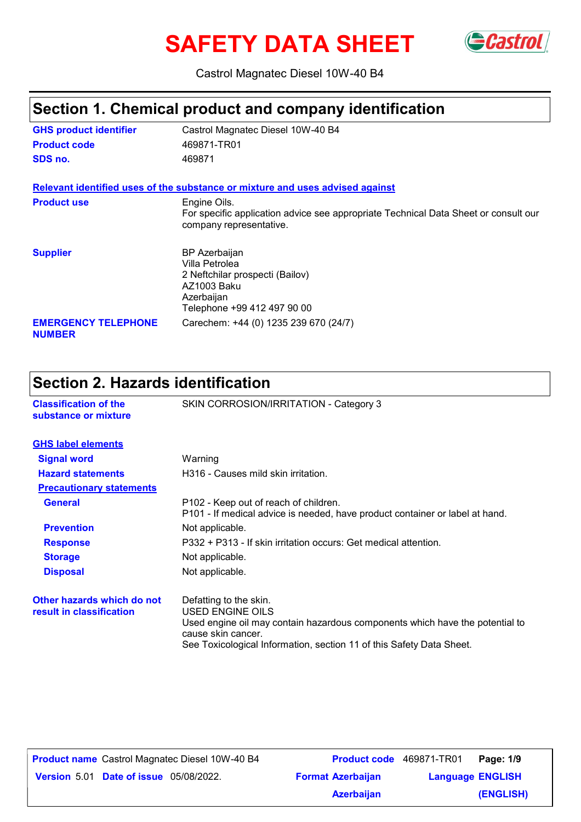# **SAFETY DATA SHEET**



Castrol Magnatec Diesel 10W-40 B4

### **Section 1. Chemical product and company identification**

| <b>GHS product identifier</b>               | Castrol Magnatec Diesel 10W-40 B4                                                                                                     |
|---------------------------------------------|---------------------------------------------------------------------------------------------------------------------------------------|
| <b>Product code</b>                         | 469871-TR01                                                                                                                           |
| SDS no.                                     | 469871                                                                                                                                |
|                                             | Relevant identified uses of the substance or mixture and uses advised against                                                         |
| <b>Product use</b>                          | Engine Oils.<br>For specific application advice see appropriate Technical Data Sheet or consult our<br>company representative.        |
| <b>Supplier</b>                             | <b>BP</b> Azerbaijan<br>Villa Petrolea<br>2 Neftchilar prospecti (Bailov)<br>AZ1003 Baku<br>Azerbaijan<br>Telephone +99 412 497 90 00 |
| <b>EMERGENCY TELEPHONE</b><br><b>NUMBER</b> | Carechem: +44 (0) 1235 239 670 (24/7)                                                                                                 |

#### **Section 2. Hazards identification Classification of the** SKIN CORROSION/IRRITATION - Category 3 **substance or mixture Signal word** Warning **Hazard statements** H316 - Causes mild skin irritation. **Precautionary statements Response** P332 + P313 - If skin irritation occurs: Get medical attention. **Storage** Not applicable. **Disposal** Not applicable. **Other hazards which do not result in classification** Defatting to the skin. USED ENGINE OILS Used engine oil may contain hazardous components which have the potential to cause skin cancer. See Toxicological Information, section 11 of this Safety Data Sheet. **GHS label elements General** P102 - Keep out of reach of children. P101 - If medical advice is needed, have product container or label at hand. **Prevention** Not applicable.

**Date of issue** 05/08/2022. **Version** 5.01 **Format Azerbaijan Language**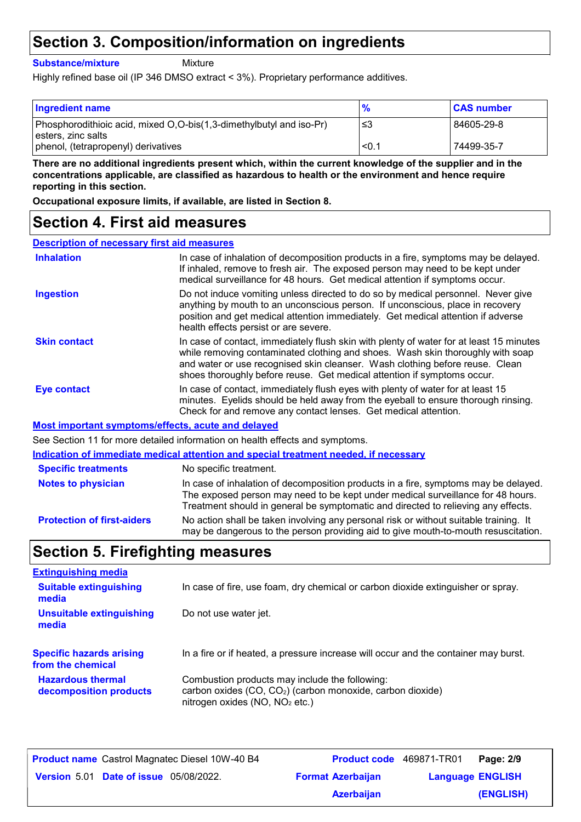### **Section 3. Composition/information on ingredients**

**Substance/mixture**

**Mixture** 

Highly refined base oil (IP 346 DMSO extract < 3%). Proprietary performance additives.

| <b>Ingredient name</b>                                                                    | $\frac{9}{6}$ | <b>CAS number</b> |
|-------------------------------------------------------------------------------------------|---------------|-------------------|
| Phosphorodithioic acid, mixed O,O-bis(1,3-dimethylbutyl and iso-Pr)<br>esters, zinc salts | -≤3           | 84605-29-8        |
| phenol, (tetrapropenyl) derivatives                                                       | < 0.1         | 74499-35-7        |

**There are no additional ingredients present which, within the current knowledge of the supplier and in the concentrations applicable, are classified as hazardous to health or the environment and hence require reporting in this section.**

**Occupational exposure limits, if available, are listed in Section 8.**

### **Section 4. First aid measures**

| <b>Description of necessary first aid measures</b> |                                                                                                                                                                                                                                                                                                                                      |
|----------------------------------------------------|--------------------------------------------------------------------------------------------------------------------------------------------------------------------------------------------------------------------------------------------------------------------------------------------------------------------------------------|
| <b>Inhalation</b>                                  | In case of inhalation of decomposition products in a fire, symptoms may be delayed.<br>If inhaled, remove to fresh air. The exposed person may need to be kept under<br>medical surveillance for 48 hours. Get medical attention if symptoms occur.                                                                                  |
| <b>Ingestion</b>                                   | Do not induce vomiting unless directed to do so by medical personnel. Never give<br>anything by mouth to an unconscious person. If unconscious, place in recovery<br>position and get medical attention immediately. Get medical attention if adverse<br>health effects persist or are severe.                                       |
| <b>Skin contact</b>                                | In case of contact, immediately flush skin with plenty of water for at least 15 minutes<br>while removing contaminated clothing and shoes. Wash skin thoroughly with soap<br>and water or use recognised skin cleanser. Wash clothing before reuse. Clean<br>shoes thoroughly before reuse. Get medical attention if symptoms occur. |
| Eye contact                                        | In case of contact, immediately flush eyes with plenty of water for at least 15<br>minutes. Eyelids should be held away from the eyeball to ensure thorough rinsing.<br>Check for and remove any contact lenses. Get medical attention.                                                                                              |
|                                                    | Most important symptoms/effects, acute and delayed                                                                                                                                                                                                                                                                                   |
|                                                    | See Section 11 for more detailed information on health effects and symptoms.                                                                                                                                                                                                                                                         |
|                                                    | Indication of immediate medical attention and special treatment needed, if necessary                                                                                                                                                                                                                                                 |
| <b>Specific treatments</b>                         | No specific treatment.                                                                                                                                                                                                                                                                                                               |
| <b>Notes to physician</b>                          | In case of inhalation of decomposition products in a fire, symptoms may be delayed.                                                                                                                                                                                                                                                  |

**Protection of first-aiders** No action shall be taken involving any personal risk or without suitable training. It may be dangerous to the person providing aid to give mouth-to-mouth resuscitation. The exposed person may need to be kept under medical surveillance for 48 hours. Treatment should in general be symptomatic and directed to relieving any effects.

### **Section 5. Firefighting measures**

| <b>Extinguishing media</b>                           |                                                                                                                                                              |
|------------------------------------------------------|--------------------------------------------------------------------------------------------------------------------------------------------------------------|
| <b>Suitable extinguishing</b><br>media               | In case of fire, use foam, dry chemical or carbon dioxide extinguisher or spray.                                                                             |
| <b>Unsuitable extinguishing</b><br>media             | Do not use water jet.                                                                                                                                        |
| <b>Specific hazards arising</b><br>from the chemical | In a fire or if heated, a pressure increase will occur and the container may burst.                                                                          |
| <b>Hazardous thermal</b><br>decomposition products   | Combustion products may include the following:<br>carbon oxides (CO, CO <sub>2</sub> ) (carbon monoxide, carbon dioxide)<br>nitrogen oxides $(NO, NO2 etc.)$ |

| <b>Product name</b> Castrol Magnatec Diesel 10W-40 B4 | <b>Product code</b> 469871-TR01 |                         | Page: 2/9 |
|-------------------------------------------------------|---------------------------------|-------------------------|-----------|
| <b>Version 5.01 Date of issue 05/08/2022.</b>         | <b>Format Azerbaijan</b>        | <b>Language ENGLISH</b> |           |
|                                                       | <b>Azerbaijan</b>               |                         | (ENGLISH) |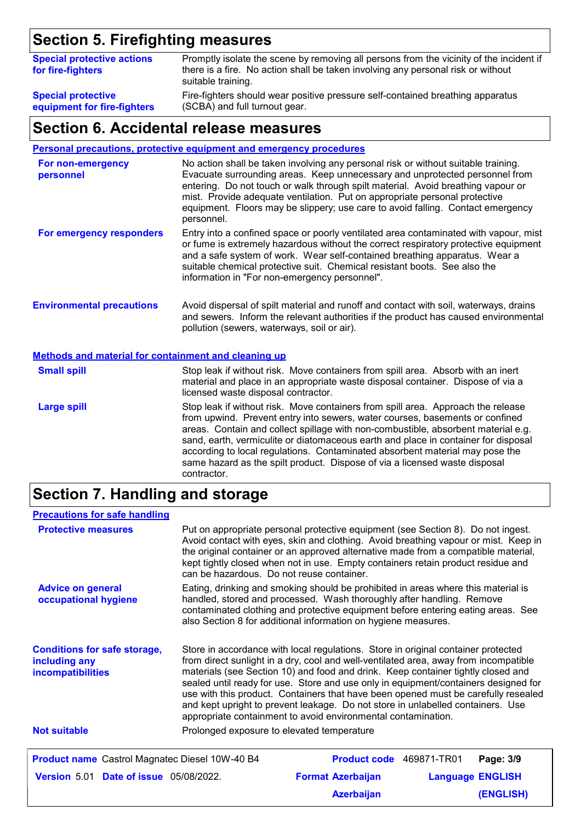# **Section 5. Firefighting measures**

| <b>Special protective actions</b><br>for fire-fighters | Promptly isolate the scene by removing all persons from the vicinity of the incident if<br>there is a fire. No action shall be taken involving any personal risk or without<br>suitable training. |
|--------------------------------------------------------|---------------------------------------------------------------------------------------------------------------------------------------------------------------------------------------------------|
| <b>Special protective</b>                              | Fire-fighters should wear positive pressure self-contained breathing apparatus                                                                                                                    |
| equipment for fire-fighters                            | (SCBA) and full turnout gear.                                                                                                                                                                     |

#### **Section 6. Accidental release measures**

**Personal precautions, protective equipment and emergency procedures**

| For non-emergency<br>personnel                              | No action shall be taken involving any personal risk or without suitable training.<br>Evacuate surrounding areas. Keep unnecessary and unprotected personnel from<br>entering. Do not touch or walk through spilt material. Avoid breathing vapour or<br>mist. Provide adequate ventilation. Put on appropriate personal protective<br>equipment. Floors may be slippery; use care to avoid falling. Contact emergency<br>personnel. |
|-------------------------------------------------------------|--------------------------------------------------------------------------------------------------------------------------------------------------------------------------------------------------------------------------------------------------------------------------------------------------------------------------------------------------------------------------------------------------------------------------------------|
| For emergency responders                                    | Entry into a confined space or poorly ventilated area contaminated with vapour, mist<br>or fume is extremely hazardous without the correct respiratory protective equipment<br>and a safe system of work. Wear self-contained breathing apparatus. Wear a<br>suitable chemical protective suit. Chemical resistant boots. See also the<br>information in "For non-emergency personnel".                                              |
| <b>Environmental precautions</b>                            | Avoid dispersal of spilt material and runoff and contact with soil, waterways, drains<br>and sewers. Inform the relevant authorities if the product has caused environmental<br>pollution (sewers, waterways, soil or air).                                                                                                                                                                                                          |
| <b>Methods and material for containment and cleaning up</b> |                                                                                                                                                                                                                                                                                                                                                                                                                                      |
| <b>Small spill</b>                                          | Stop leak if without risk. Move containers from spill area. Absorb with an inert<br>material and place in an appropriate waste disposal container. Dispose of via a<br>licensed waste disposal contractor.                                                                                                                                                                                                                           |
| <b>Large spill</b>                                          | Stop leak if without risk. Move containers from spill area. Approach the release<br>from upwind. Prevent entry into sewers, water courses, basements or confined                                                                                                                                                                                                                                                                     |

areas. Contain and collect spillage with non-combustible, absorbent material e.g. sand, earth, vermiculite or diatomaceous earth and place in container for disposal according to local regulations. Contaminated absorbent material may pose the same hazard as the spilt product. Dispose of via a licensed waste disposal contractor.

# **Section 7. Handling and storage**

| <b>Precautions for safe handling</b>                                      |                                                                                                                                                                                                                                                                                                                                                                                                                                                                                                                                                                                                |                          |  |                         |  |
|---------------------------------------------------------------------------|------------------------------------------------------------------------------------------------------------------------------------------------------------------------------------------------------------------------------------------------------------------------------------------------------------------------------------------------------------------------------------------------------------------------------------------------------------------------------------------------------------------------------------------------------------------------------------------------|--------------------------|--|-------------------------|--|
| <b>Protective measures</b>                                                | Put on appropriate personal protective equipment (see Section 8). Do not ingest.<br>Avoid contact with eyes, skin and clothing. Avoid breathing vapour or mist. Keep in<br>the original container or an approved alternative made from a compatible material,<br>kept tightly closed when not in use. Empty containers retain product residue and<br>can be hazardous. Do not reuse container.                                                                                                                                                                                                 |                          |  |                         |  |
| <b>Advice on general</b><br>occupational hygiene                          | Eating, drinking and smoking should be prohibited in areas where this material is<br>handled, stored and processed. Wash thoroughly after handling. Remove<br>contaminated clothing and protective equipment before entering eating areas. See<br>also Section 8 for additional information on hygiene measures.                                                                                                                                                                                                                                                                               |                          |  |                         |  |
| <b>Conditions for safe storage,</b><br>including any<br>incompatibilities | Store in accordance with local regulations. Store in original container protected<br>from direct sunlight in a dry, cool and well-ventilated area, away from incompatible<br>materials (see Section 10) and food and drink. Keep container tightly closed and<br>sealed until ready for use. Store and use only in equipment/containers designed for<br>use with this product. Containers that have been opened must be carefully resealed<br>and kept upright to prevent leakage. Do not store in unlabelled containers. Use<br>appropriate containment to avoid environmental contamination. |                          |  |                         |  |
| <b>Not suitable</b>                                                       | Prolonged exposure to elevated temperature                                                                                                                                                                                                                                                                                                                                                                                                                                                                                                                                                     |                          |  |                         |  |
| <b>Product name</b> Castrol Magnatec Diesel 10W-40 B4                     |                                                                                                                                                                                                                                                                                                                                                                                                                                                                                                                                                                                                | Product code 469871-TR01 |  | Page: 3/9               |  |
| <b>Version 5.01 Date of issue 05/08/2022.</b>                             |                                                                                                                                                                                                                                                                                                                                                                                                                                                                                                                                                                                                | <b>Format Azerbaijan</b> |  | <b>Language ENGLISH</b> |  |
|                                                                           |                                                                                                                                                                                                                                                                                                                                                                                                                                                                                                                                                                                                | <b>Azerbaijan</b>        |  | (ENGLISH)               |  |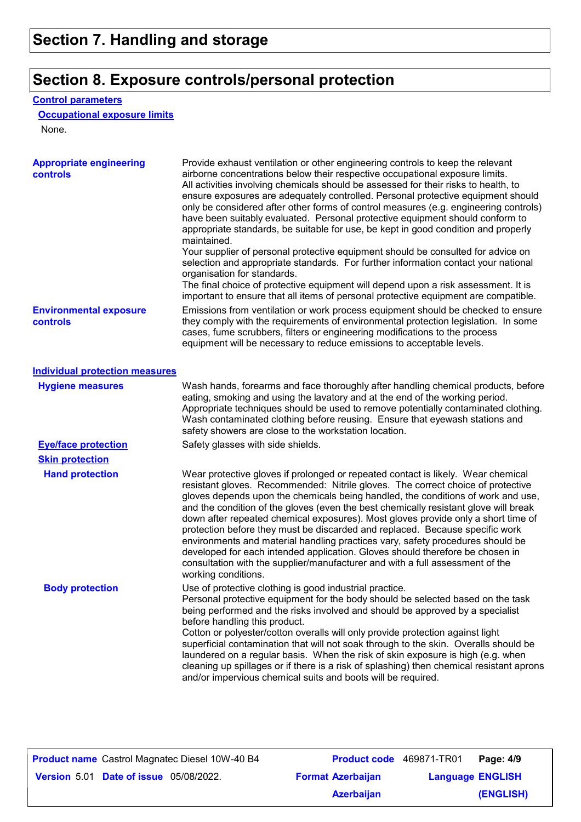# **Section 8. Exposure controls/personal protection**

#### **Control parameters**

#### **Occupational exposure limits**

None.

| <b>Appropriate engineering</b><br><b>controls</b> | Provide exhaust ventilation or other engineering controls to keep the relevant<br>airborne concentrations below their respective occupational exposure limits.<br>All activities involving chemicals should be assessed for their risks to health, to<br>ensure exposures are adequately controlled. Personal protective equipment should<br>only be considered after other forms of control measures (e.g. engineering controls)<br>have been suitably evaluated. Personal protective equipment should conform to<br>appropriate standards, be suitable for use, be kept in good condition and properly<br>maintained.<br>Your supplier of personal protective equipment should be consulted for advice on<br>selection and appropriate standards. For further information contact your national<br>organisation for standards.<br>The final choice of protective equipment will depend upon a risk assessment. It is<br>important to ensure that all items of personal protective equipment are compatible. |
|---------------------------------------------------|---------------------------------------------------------------------------------------------------------------------------------------------------------------------------------------------------------------------------------------------------------------------------------------------------------------------------------------------------------------------------------------------------------------------------------------------------------------------------------------------------------------------------------------------------------------------------------------------------------------------------------------------------------------------------------------------------------------------------------------------------------------------------------------------------------------------------------------------------------------------------------------------------------------------------------------------------------------------------------------------------------------|
| <b>Environmental exposure</b><br>controls         | Emissions from ventilation or work process equipment should be checked to ensure<br>they comply with the requirements of environmental protection legislation. In some<br>cases, fume scrubbers, filters or engineering modifications to the process<br>equipment will be necessary to reduce emissions to acceptable levels.                                                                                                                                                                                                                                                                                                                                                                                                                                                                                                                                                                                                                                                                                 |
| <b>Individual protection measures</b>             |                                                                                                                                                                                                                                                                                                                                                                                                                                                                                                                                                                                                                                                                                                                                                                                                                                                                                                                                                                                                               |
| <b>Hygiene measures</b>                           | Wash hands, forearms and face thoroughly after handling chemical products, before<br>eating, smoking and using the lavatory and at the end of the working period.<br>Appropriate techniques should be used to remove potentially contaminated clothing.<br>Wash contaminated clothing before reusing. Ensure that eyewash stations and<br>safety showers are close to the workstation location.                                                                                                                                                                                                                                                                                                                                                                                                                                                                                                                                                                                                               |
| <b>Eye/face protection</b>                        | Safety glasses with side shields.                                                                                                                                                                                                                                                                                                                                                                                                                                                                                                                                                                                                                                                                                                                                                                                                                                                                                                                                                                             |
| <b>Skin protection</b>                            |                                                                                                                                                                                                                                                                                                                                                                                                                                                                                                                                                                                                                                                                                                                                                                                                                                                                                                                                                                                                               |
| <b>Hand protection</b>                            | Wear protective gloves if prolonged or repeated contact is likely. Wear chemical<br>resistant gloves. Recommended: Nitrile gloves. The correct choice of protective<br>gloves depends upon the chemicals being handled, the conditions of work and use,<br>and the condition of the gloves (even the best chemically resistant glove will break<br>down after repeated chemical exposures). Most gloves provide only a short time of<br>protection before they must be discarded and replaced. Because specific work<br>environments and material handling practices vary, safety procedures should be<br>developed for each intended application. Gloves should therefore be chosen in<br>consultation with the supplier/manufacturer and with a full assessment of the<br>working conditions.                                                                                                                                                                                                               |
| <b>Body protection</b>                            | Use of protective clothing is good industrial practice.<br>Personal protective equipment for the body should be selected based on the task<br>being performed and the risks involved and should be approved by a specialist<br>before handling this product.<br>Cotton or polyester/cotton overalls will only provide protection against light<br>superficial contamination that will not soak through to the skin. Overalls should be<br>laundered on a regular basis. When the risk of skin exposure is high (e.g. when<br>cleaning up spillages or if there is a risk of splashing) then chemical resistant aprons<br>and/or impervious chemical suits and boots will be required.                                                                                                                                                                                                                                                                                                                         |

| <b>Product name</b> Castrol Magnatec Diesel 10W-40 B4 |                          | <b>Product code</b> 469871-TR01 | Page: 4/9               |
|-------------------------------------------------------|--------------------------|---------------------------------|-------------------------|
| <b>Version 5.01 Date of issue 05/08/2022.</b>         | <b>Format Azerbaijan</b> |                                 | <b>Language ENGLISH</b> |
|                                                       | <b>Azerbaijan</b>        |                                 | (ENGLISH)               |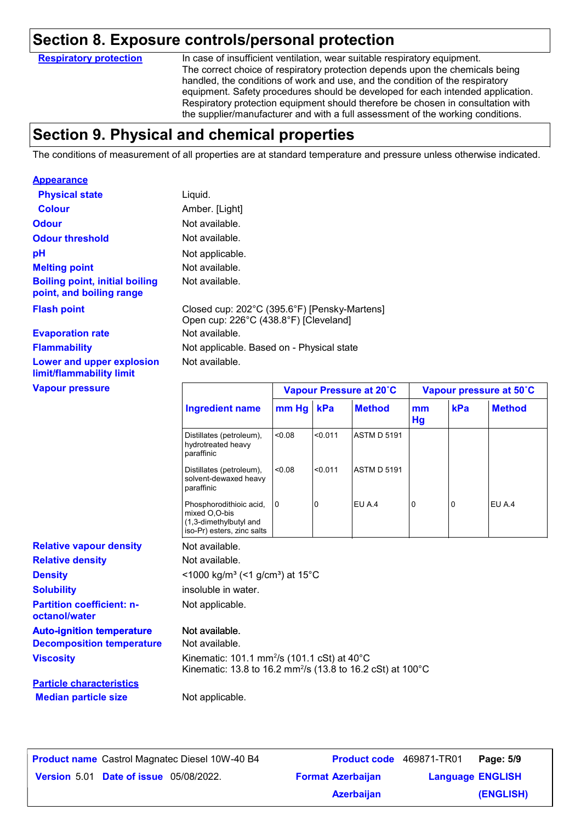#### **Section 8. Exposure controls/personal protection**

**Respiratory protection**

In case of insufficient ventilation, wear suitable respiratory equipment. The correct choice of respiratory protection depends upon the chemicals being handled, the conditions of work and use, and the condition of the respiratory equipment. Safety procedures should be developed for each intended application. Respiratory protection equipment should therefore be chosen in consultation with the supplier/manufacturer and with a full assessment of the working conditions.

### **Section 9. Physical and chemical properties**

The conditions of measurement of all properties are at standard temperature and pressure unless otherwise indicated.

| <b>Appearance</b>                                                    |                                                                                                                                   |       |         |                         |          |     |                         |
|----------------------------------------------------------------------|-----------------------------------------------------------------------------------------------------------------------------------|-------|---------|-------------------------|----------|-----|-------------------------|
| <b>Physical state</b>                                                | Liquid.                                                                                                                           |       |         |                         |          |     |                         |
| <b>Colour</b>                                                        | Amber. [Light]                                                                                                                    |       |         |                         |          |     |                         |
| <b>Odour</b>                                                         | Not available.                                                                                                                    |       |         |                         |          |     |                         |
| <b>Odour threshold</b>                                               | Not available.                                                                                                                    |       |         |                         |          |     |                         |
| pH                                                                   | Not applicable.                                                                                                                   |       |         |                         |          |     |                         |
| <b>Melting point</b>                                                 | Not available.                                                                                                                    |       |         |                         |          |     |                         |
| <b>Boiling point, initial boiling</b><br>point, and boiling range    | Not available.                                                                                                                    |       |         |                         |          |     |                         |
| <b>Flash point</b>                                                   | Closed cup: 202°C (395.6°F) [Pensky-Martens]<br>Open cup: 226°C (438.8°F) [Cleveland]                                             |       |         |                         |          |     |                         |
| <b>Evaporation rate</b>                                              | Not available.                                                                                                                    |       |         |                         |          |     |                         |
| <b>Flammability</b>                                                  | Not applicable. Based on - Physical state                                                                                         |       |         |                         |          |     |                         |
| Lower and upper explosion<br>limit/flammability limit                | Not available.                                                                                                                    |       |         |                         |          |     |                         |
| <b>Vapour pressure</b>                                               |                                                                                                                                   |       |         | Vapour Pressure at 20°C |          |     | Vapour pressure at 50°C |
|                                                                      | <b>Ingredient name</b>                                                                                                            | mm Hg | kPa     | <b>Method</b>           | mm<br>Hg | kPa | <b>Method</b>           |
|                                                                      | Distillates (petroleum),<br>hydrotreated heavy<br>paraffinic                                                                      | 0.08  | < 0.011 | <b>ASTM D 5191</b>      |          |     |                         |
|                                                                      | Distillates (petroleum),<br>solvent-dewaxed heavy<br>paraffinic                                                                   | 0.08  | <0.011  | <b>ASTM D 5191</b>      |          |     |                         |
|                                                                      | Phosphorodithioic acid,<br>mixed O,O-bis<br>(1,3-dimethylbutyl and<br>iso-Pr) esters, zinc salts                                  | 0     | 0       | EU A.4                  | 0        | 0   | EU A.4                  |
| <b>Relative vapour density</b>                                       | Not available.                                                                                                                    |       |         |                         |          |     |                         |
| <b>Relative density</b>                                              | Not available.                                                                                                                    |       |         |                         |          |     |                         |
| <b>Density</b>                                                       | <1000 kg/m <sup>3</sup> (<1 g/cm <sup>3</sup> ) at 15°C                                                                           |       |         |                         |          |     |                         |
|                                                                      |                                                                                                                                   |       |         |                         |          |     |                         |
| <b>Solubility</b>                                                    | insoluble in water.                                                                                                               |       |         |                         |          |     |                         |
| <b>Partition coefficient: n-</b><br>octanol/water                    | Not applicable.                                                                                                                   |       |         |                         |          |     |                         |
|                                                                      | Not available.                                                                                                                    |       |         |                         |          |     |                         |
| <b>Auto-ignition temperature</b><br><b>Decomposition temperature</b> | Not available.                                                                                                                    |       |         |                         |          |     |                         |
| <b>Viscosity</b>                                                     | Kinematic: 101.1 mm <sup>2</sup> /s (101.1 cSt) at 40°C<br>Kinematic: 13.8 to 16.2 mm <sup>2</sup> /s (13.8 to 16.2 cSt) at 100°C |       |         |                         |          |     |                         |
| <b>Particle characteristics</b>                                      |                                                                                                                                   |       |         |                         |          |     |                         |

| <b>Product name</b> Castrol Magnatec Diesel 10W-40 B4 | Product code 469871-TR01 |                         | Page: 5/9 |
|-------------------------------------------------------|--------------------------|-------------------------|-----------|
| <b>Version 5.01 Date of issue 05/08/2022.</b>         | <b>Format Azerbaijan</b> | <b>Language ENGLISH</b> |           |
|                                                       | <b>Azerbaijan</b>        |                         | (ENGLISH) |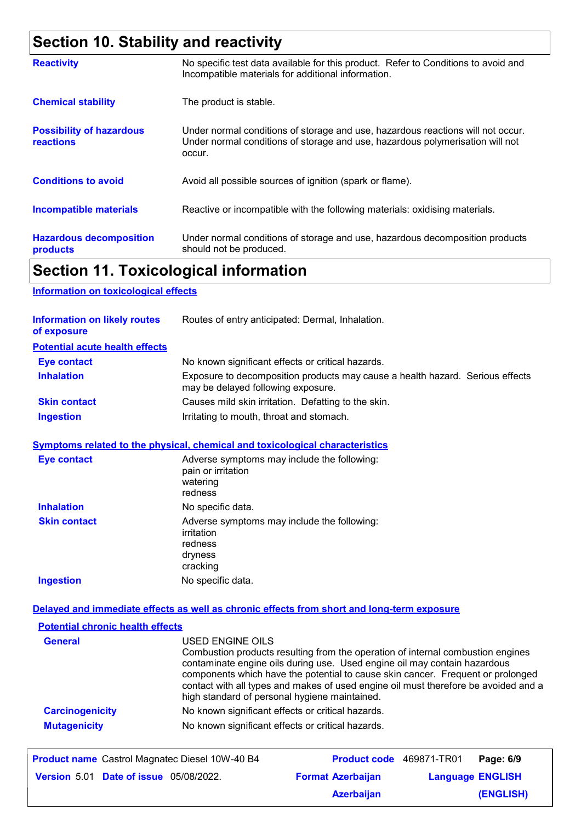# **Section 10. Stability and reactivity**

| <b>Reactivity</b>                                   | No specific test data available for this product. Refer to Conditions to avoid and<br>Incompatible materials for additional information.                                   |
|-----------------------------------------------------|----------------------------------------------------------------------------------------------------------------------------------------------------------------------------|
| <b>Chemical stability</b>                           | The product is stable.                                                                                                                                                     |
| <b>Possibility of hazardous</b><br><b>reactions</b> | Under normal conditions of storage and use, hazardous reactions will not occur.<br>Under normal conditions of storage and use, hazardous polymerisation will not<br>occur. |
| <b>Conditions to avoid</b>                          | Avoid all possible sources of ignition (spark or flame).                                                                                                                   |
| <b>Incompatible materials</b>                       | Reactive or incompatible with the following materials: oxidising materials.                                                                                                |
| <b>Hazardous decomposition</b><br>products          | Under normal conditions of storage and use, hazardous decomposition products<br>should not be produced.                                                                    |

### **Section 11. Toxicological information**

#### **Information on toxicological effects**

| <b>Information on likely routes</b><br>of exposure | Routes of entry anticipated: Dermal, Inhalation.                                                                    |
|----------------------------------------------------|---------------------------------------------------------------------------------------------------------------------|
| <b>Potential acute health effects</b>              |                                                                                                                     |
| <b>Eye contact</b>                                 | No known significant effects or critical hazards.                                                                   |
| <b>Inhalation</b>                                  | Exposure to decomposition products may cause a health hazard. Serious effects<br>may be delayed following exposure. |
| <b>Skin contact</b>                                | Causes mild skin irritation. Defatting to the skin.                                                                 |
| <b>Ingestion</b>                                   | Irritating to mouth, throat and stomach.                                                                            |

#### **Symptoms related to the physical, chemical and toxicological characteristics**

| Eye contact         | Adverse symptoms may include the following:<br>pain or irritation<br>watering<br>redness    |
|---------------------|---------------------------------------------------------------------------------------------|
| <b>Inhalation</b>   | No specific data.                                                                           |
| <b>Skin contact</b> | Adverse symptoms may include the following:<br>irritation<br>redness<br>dryness<br>cracking |
| <b>Ingestion</b>    | No specific data.                                                                           |

#### **Delayed and immediate effects as well as chronic effects from short and long-term exposure**

| <b>Potential chronic health effects</b> |                                                                                                                                                                                                                                                                                                                                                                                                             |
|-----------------------------------------|-------------------------------------------------------------------------------------------------------------------------------------------------------------------------------------------------------------------------------------------------------------------------------------------------------------------------------------------------------------------------------------------------------------|
| <b>General</b>                          | USED ENGINE OILS<br>Combustion products resulting from the operation of internal combustion engines<br>contaminate engine oils during use. Used engine oil may contain hazardous<br>components which have the potential to cause skin cancer. Frequent or prolonged<br>contact with all types and makes of used engine oil must therefore be avoided and a<br>high standard of personal hygiene maintained. |
| <b>Carcinogenicity</b>                  | No known significant effects or critical hazards.                                                                                                                                                                                                                                                                                                                                                           |
| <b>Mutagenicity</b>                     | No known significant effects or critical hazards.                                                                                                                                                                                                                                                                                                                                                           |

| <b>Product name</b> Castrol Magnatec Diesel 10W-40 B4 | <b>Product code</b> 469871-TR01 |                         | Page: 6/9 |
|-------------------------------------------------------|---------------------------------|-------------------------|-----------|
| <b>Version 5.01 Date of issue 05/08/2022.</b>         | <b>Format Azerbaijan</b>        | <b>Language ENGLISH</b> |           |
|                                                       | <b>Azerbaijan</b>               |                         | (ENGLISH) |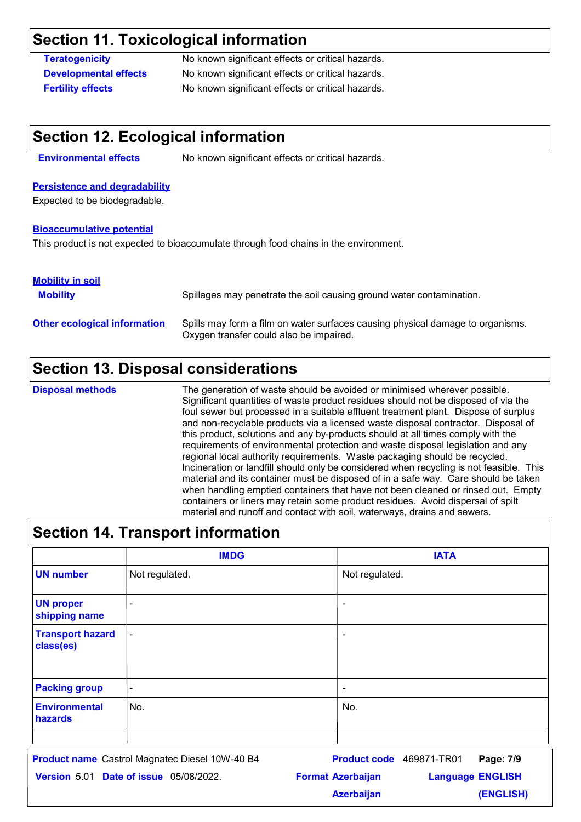### **Section 11. Toxicological information**

**Teratogenicity** No known significant effects or critical hazards. **Developmental effects** No known significant effects or critical hazards. **Fertility effects** No known significant effects or critical hazards.

#### **Section 12. Ecological information**

**Environmental effects** No known significant effects or critical hazards.

#### **Persistence and degradability**

Expected to be biodegradable.

#### **Bioaccumulative potential**

This product is not expected to bioaccumulate through food chains in the environment.

#### **Mobility in soil**

| <b>Mobility</b>                     | Spillages may penetrate the soil causing ground water contamination.                                                      |
|-------------------------------------|---------------------------------------------------------------------------------------------------------------------------|
| <b>Other ecological information</b> | Spills may form a film on water surfaces causing physical damage to organisms.<br>Oxygen transfer could also be impaired. |

### **Section 13. Disposal considerations**

The generation of waste should be avoided or minimised wherever possible. Significant quantities of waste product residues should not be disposed of via the foul sewer but processed in a suitable effluent treatment plant. Dispose of surplus and non-recyclable products via a licensed waste disposal contractor. Disposal of this product, solutions and any by-products should at all times comply with the requirements of environmental protection and waste disposal legislation and any regional local authority requirements. Waste packaging should be recycled. Incineration or landfill should only be considered when recycling is not feasible. This material and its container must be disposed of in a safe way. Care should be taken when handling emptied containers that have not been cleaned or rinsed out. Empty containers or liners may retain some product residues. Avoid dispersal of spilt material and runoff and contact with soil, waterways, drains and sewers. **Disposal methods**

| <b>Section 14. Transport information</b> |                |                |  |
|------------------------------------------|----------------|----------------|--|
|                                          | <b>IMDG</b>    | <b>IATA</b>    |  |
| <b>UN number</b>                         | Not regulated. | Not regulated. |  |
| <b>UN proper</b><br>shipping name        |                |                |  |
| <b>Transport hazard</b><br>class(es)     | $\blacksquare$ |                |  |
| <b>Packing group</b>                     | $\blacksquare$ | ۰              |  |
| <b>Environmental</b><br>hazards          | No.            | No.            |  |
|                                          |                |                |  |

| <b>Product name</b> Castrol Magnatec Diesel 10W-40 B4 | <b>Product code</b> 469871-TR01 | Page: 7/9               |
|-------------------------------------------------------|---------------------------------|-------------------------|
| <b>Version 5.01 Date of issue 05/08/2022.</b>         | <b>Format Azerbaijan</b>        | <b>Language ENGLISH</b> |
|                                                       | <b>Azerbaijan</b>               | (ENGLISH)               |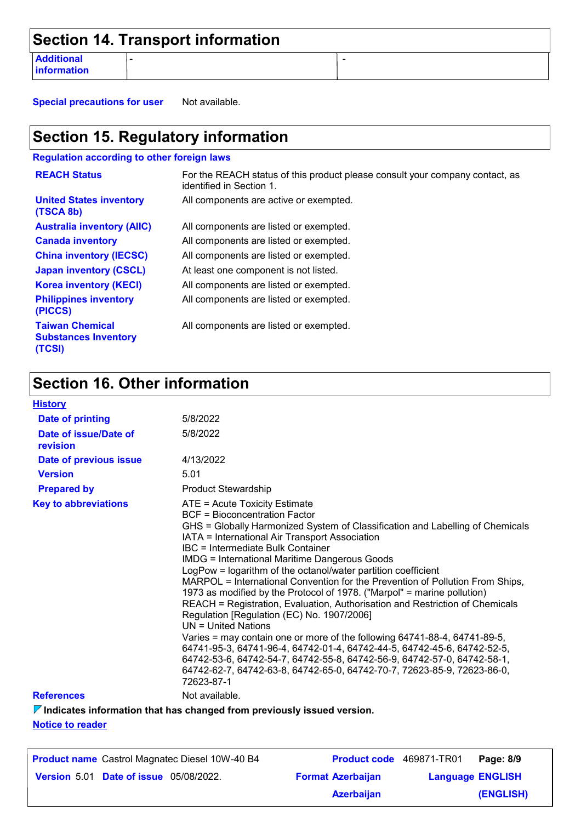|                                  | Section 14. Transport information |  |
|----------------------------------|-----------------------------------|--|
| <b>Additional</b><br>information |                                   |  |

**Special precautions for user** Not available.

# **Section 15. Regulatory information**

**Regulation according to other foreign laws**

| <b>REACH Status</b>                                             | For the REACH status of this product please consult your company contact, as<br>identified in Section 1. |
|-----------------------------------------------------------------|----------------------------------------------------------------------------------------------------------|
| <b>United States inventory</b><br>(TSCA 8b)                     | All components are active or exempted.                                                                   |
| <b>Australia inventory (AIIC)</b>                               | All components are listed or exempted.                                                                   |
| <b>Canada inventory</b>                                         | All components are listed or exempted.                                                                   |
| <b>China inventory (IECSC)</b>                                  | All components are listed or exempted.                                                                   |
| <b>Japan inventory (CSCL)</b>                                   | At least one component is not listed.                                                                    |
| <b>Korea inventory (KECI)</b>                                   | All components are listed or exempted.                                                                   |
| <b>Philippines inventory</b><br>(PICCS)                         | All components are listed or exempted.                                                                   |
| <b>Taiwan Chemical</b><br><b>Substances Inventory</b><br>(TCSI) | All components are listed or exempted.                                                                   |

# **Section 16. Other information**

| <b>History</b>                    |                                                                                                                                                                                                                                                                                                                                                                                                                                                                                                                                                                                                                                                                                                                                                                                                                                                                                                                                                                                                                |
|-----------------------------------|----------------------------------------------------------------------------------------------------------------------------------------------------------------------------------------------------------------------------------------------------------------------------------------------------------------------------------------------------------------------------------------------------------------------------------------------------------------------------------------------------------------------------------------------------------------------------------------------------------------------------------------------------------------------------------------------------------------------------------------------------------------------------------------------------------------------------------------------------------------------------------------------------------------------------------------------------------------------------------------------------------------|
| <b>Date of printing</b>           | 5/8/2022                                                                                                                                                                                                                                                                                                                                                                                                                                                                                                                                                                                                                                                                                                                                                                                                                                                                                                                                                                                                       |
| Date of issue/Date of<br>revision | 5/8/2022                                                                                                                                                                                                                                                                                                                                                                                                                                                                                                                                                                                                                                                                                                                                                                                                                                                                                                                                                                                                       |
| Date of previous issue            | 4/13/2022                                                                                                                                                                                                                                                                                                                                                                                                                                                                                                                                                                                                                                                                                                                                                                                                                                                                                                                                                                                                      |
| <b>Version</b>                    | 5.01                                                                                                                                                                                                                                                                                                                                                                                                                                                                                                                                                                                                                                                                                                                                                                                                                                                                                                                                                                                                           |
| <b>Prepared by</b>                | <b>Product Stewardship</b>                                                                                                                                                                                                                                                                                                                                                                                                                                                                                                                                                                                                                                                                                                                                                                                                                                                                                                                                                                                     |
| <b>Key to abbreviations</b>       | ATE = Acute Toxicity Estimate<br>BCF = Bioconcentration Factor<br>GHS = Globally Harmonized System of Classification and Labelling of Chemicals<br>IATA = International Air Transport Association<br>IBC = Intermediate Bulk Container<br><b>IMDG = International Maritime Dangerous Goods</b><br>LogPow = logarithm of the octanol/water partition coefficient<br>MARPOL = International Convention for the Prevention of Pollution From Ships,<br>1973 as modified by the Protocol of 1978. ("Marpol" = marine pollution)<br>REACH = Registration, Evaluation, Authorisation and Restriction of Chemicals<br>Regulation [Regulation (EC) No. 1907/2006]<br>$UN = United Nations$<br>Varies = may contain one or more of the following 64741-88-4, 64741-89-5,<br>64741-95-3, 64741-96-4, 64742-01-4, 64742-44-5, 64742-45-6, 64742-52-5,<br>64742-53-6, 64742-54-7, 64742-55-8, 64742-56-9, 64742-57-0, 64742-58-1,<br>64742-62-7, 64742-63-8, 64742-65-0, 64742-70-7, 72623-85-9, 72623-86-0,<br>72623-87-1 |
| <b>References</b>                 | Not available.                                                                                                                                                                                                                                                                                                                                                                                                                                                                                                                                                                                                                                                                                                                                                                                                                                                                                                                                                                                                 |
|                                   |                                                                                                                                                                                                                                                                                                                                                                                                                                                                                                                                                                                                                                                                                                                                                                                                                                                                                                                                                                                                                |

**Indicates information that has changed from previously issued version.**

**Notice to reader**

| <b>Product name</b> Castrol Magnatec Diesel 10W-40 B4 | <b>Product code</b> 469871-TR01 |                         | Page: 8/9 |
|-------------------------------------------------------|---------------------------------|-------------------------|-----------|
| <b>Version 5.01 Date of issue 05/08/2022.</b>         | <b>Format Azerbaijan</b>        | <b>Language ENGLISH</b> |           |
|                                                       | <b>Azerbaijan</b>               |                         | (ENGLISH) |